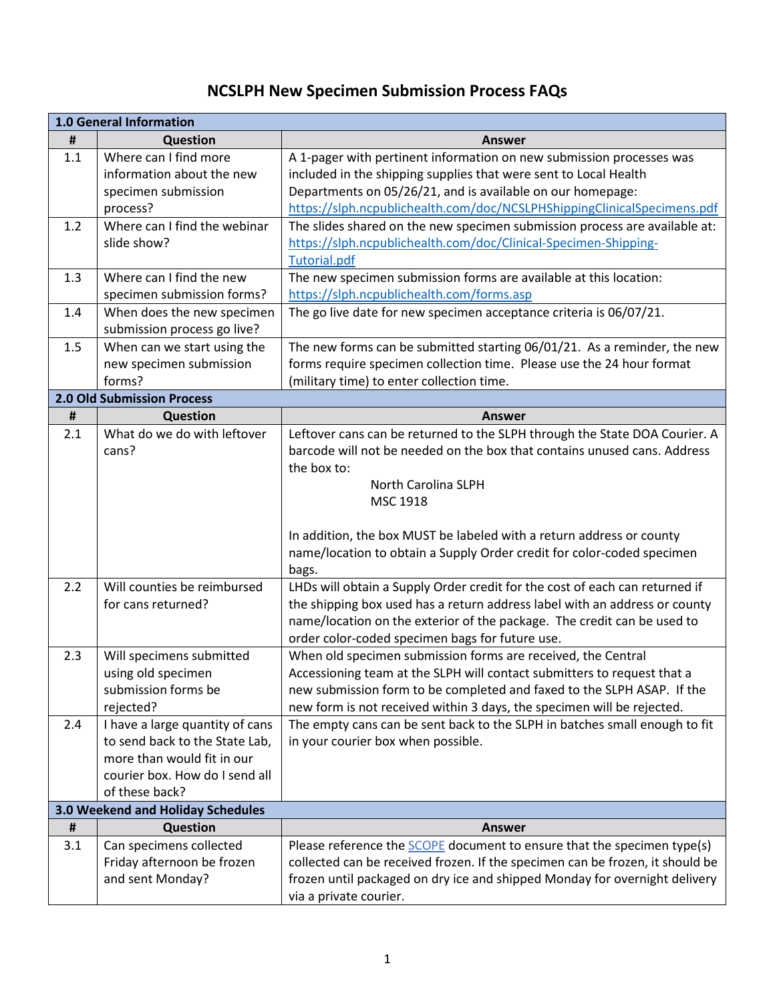## **NCSLPH New Specimen Submission Process FAQs**

| <b>1.0 General Information</b> |                                                                                                                                                     |                                                                                                                                                                                                                                                                                             |
|--------------------------------|-----------------------------------------------------------------------------------------------------------------------------------------------------|---------------------------------------------------------------------------------------------------------------------------------------------------------------------------------------------------------------------------------------------------------------------------------------------|
| #                              | <b>Question</b>                                                                                                                                     | Answer                                                                                                                                                                                                                                                                                      |
| 1.1                            | Where can I find more<br>information about the new<br>specimen submission<br>process?                                                               | A 1-pager with pertinent information on new submission processes was<br>included in the shipping supplies that were sent to Local Health<br>Departments on 05/26/21, and is available on our homepage:<br>https://slph.ncpublichealth.com/doc/NCSLPHShippingClinicalSpecimens.pdf           |
| 1.2                            | Where can I find the webinar<br>slide show?                                                                                                         | The slides shared on the new specimen submission process are available at:<br>https://slph.ncpublichealth.com/doc/Clinical-Specimen-Shipping-<br><b>Tutorial.pdf</b>                                                                                                                        |
| 1.3                            | Where can I find the new<br>specimen submission forms?                                                                                              | The new specimen submission forms are available at this location:<br>https://slph.ncpublichealth.com/forms.asp                                                                                                                                                                              |
| 1.4                            | When does the new specimen<br>submission process go live?                                                                                           | The go live date for new specimen acceptance criteria is 06/07/21.                                                                                                                                                                                                                          |
| 1.5                            | When can we start using the<br>new specimen submission<br>forms?                                                                                    | The new forms can be submitted starting 06/01/21. As a reminder, the new<br>forms require specimen collection time. Please use the 24 hour format<br>(military time) to enter collection time.                                                                                              |
|                                | <b>2.0 Old Submission Process</b>                                                                                                                   |                                                                                                                                                                                                                                                                                             |
| $\pmb{\sharp}$                 | <b>Question</b>                                                                                                                                     | <b>Answer</b>                                                                                                                                                                                                                                                                               |
| 2.1                            | What do we do with leftover<br>cans?                                                                                                                | Leftover cans can be returned to the SLPH through the State DOA Courier. A<br>barcode will not be needed on the box that contains unused cans. Address<br>the box to:<br>North Carolina SLPH<br>MSC 1918                                                                                    |
|                                |                                                                                                                                                     | In addition, the box MUST be labeled with a return address or county<br>name/location to obtain a Supply Order credit for color-coded specimen<br>bags.                                                                                                                                     |
| 2.2                            | Will counties be reimbursed<br>for cans returned?                                                                                                   | LHDs will obtain a Supply Order credit for the cost of each can returned if<br>the shipping box used has a return address label with an address or county<br>name/location on the exterior of the package. The credit can be used to<br>order color-coded specimen bags for future use.     |
| 2.3                            | Will specimens submitted<br>using old specimen<br>submission forms be<br>rejected?                                                                  | When old specimen submission forms are received, the Central<br>Accessioning team at the SLPH will contact submitters to request that a<br>new submission form to be completed and faxed to the SLPH ASAP. If the<br>new form is not received within 3 days, the specimen will be rejected. |
| 2.4                            | I have a large quantity of cans<br>to send back to the State Lab,<br>more than would fit in our<br>courier box. How do I send all<br>of these back? | The empty cans can be sent back to the SLPH in batches small enough to fit<br>in your courier box when possible.                                                                                                                                                                            |
|                                | 3.0 Weekend and Holiday Schedules                                                                                                                   |                                                                                                                                                                                                                                                                                             |
| #                              | <b>Question</b>                                                                                                                                     | <b>Answer</b>                                                                                                                                                                                                                                                                               |
| 3.1                            | Can specimens collected<br>Friday afternoon be frozen<br>and sent Monday?                                                                           | Please reference the SCOPE document to ensure that the specimen type(s)<br>collected can be received frozen. If the specimen can be frozen, it should be<br>frozen until packaged on dry ice and shipped Monday for overnight delivery<br>via a private courier.                            |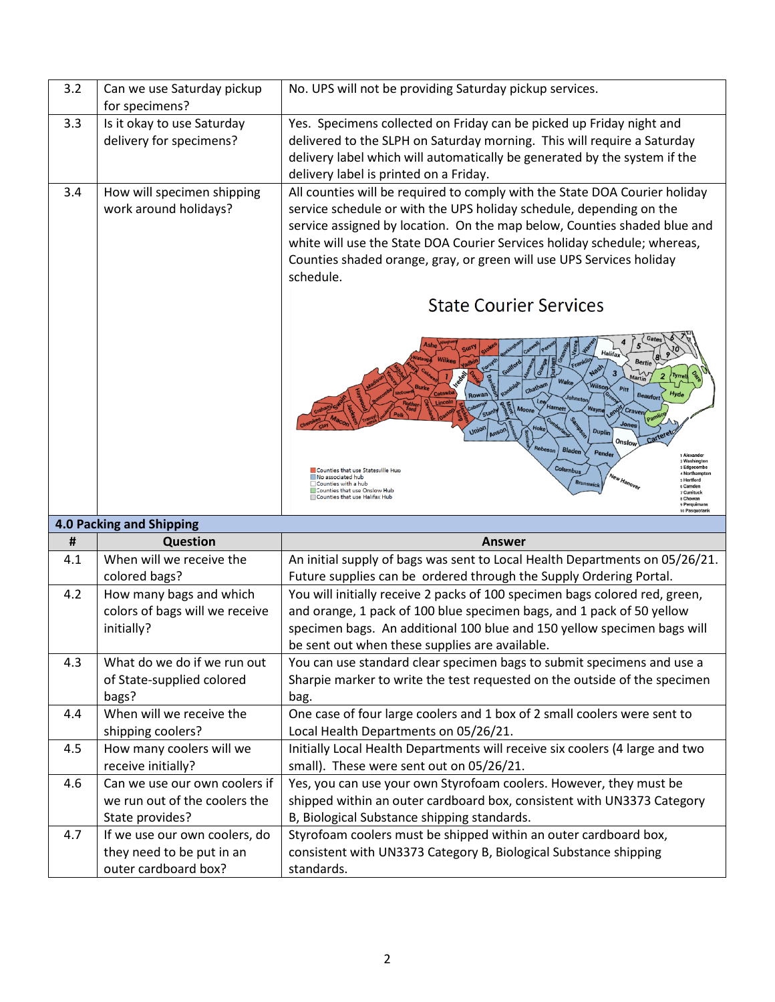| 3.2 | Can we use Saturday pickup<br>for specimens?                                      | No. UPS will not be providing Saturday pickup services.                                                                                                                                                                                                                                                                                                                                        |
|-----|-----------------------------------------------------------------------------------|------------------------------------------------------------------------------------------------------------------------------------------------------------------------------------------------------------------------------------------------------------------------------------------------------------------------------------------------------------------------------------------------|
| 3.3 | Is it okay to use Saturday<br>delivery for specimens?                             | Yes. Specimens collected on Friday can be picked up Friday night and<br>delivered to the SLPH on Saturday morning. This will require a Saturday<br>delivery label which will automatically be generated by the system if the<br>delivery label is printed on a Friday.                                                                                                                         |
| 3.4 | How will specimen shipping<br>work around holidays?                               | All counties will be required to comply with the State DOA Courier holiday<br>service schedule or with the UPS holiday schedule, depending on the<br>service assigned by location. On the map below, Counties shaded blue and<br>white will use the State DOA Courier Services holiday schedule; whereas,<br>Counties shaded orange, gray, or green will use UPS Services holiday<br>schedule. |
|     |                                                                                   | <b>State Courier Services</b>                                                                                                                                                                                                                                                                                                                                                                  |
|     |                                                                                   | Halifa<br><b>Bertie</b><br>Tyr<br><b>Wilson</b><br>Pitt<br>Hyd<br><b>Beaufort</b><br>Johnston<br>Moore<br>Craven/<br>Union<br><b>Duplin</b><br>Onslow<br>Robeson<br>Blader<br>Pender<br><b>Alexande</b><br>2 Washington                                                                                                                                                                        |
|     |                                                                                   | 3 Edgecomb<br>Columbus<br>Counties that use Statesville Hup<br>4 Northampto<br>No associated hub<br>s Hertford<br><b>Brunswick</b><br>□ Counties with a hub<br>6 Camden                                                                                                                                                                                                                        |
|     |                                                                                   | Counties that use Onslow Hub<br>7 Currituck<br>Counties that use Halifax Hub<br>s Chowan<br>9 Perguimans<br>10 Pasquotar                                                                                                                                                                                                                                                                       |
|     | 4.0 Packing and Shipping                                                          |                                                                                                                                                                                                                                                                                                                                                                                                |
| Ħ   | <b>Question</b>                                                                   | Answer                                                                                                                                                                                                                                                                                                                                                                                         |
| 4.1 | When will we receive the<br>colored bags?                                         | An initial supply of bags was sent to Local Health Departments on 05/26/21.<br>Future supplies can be ordered through the Supply Ordering Portal.                                                                                                                                                                                                                                              |
| 4.2 | How many bags and which<br>colors of bags will we receive<br>initially?           | You will initially receive 2 packs of 100 specimen bags colored red, green,<br>and orange, 1 pack of 100 blue specimen bags, and 1 pack of 50 yellow<br>specimen bags. An additional 100 blue and 150 yellow specimen bags will<br>be sent out when these supplies are available.                                                                                                              |
| 4.3 | What do we do if we run out<br>of State-supplied colored<br>bags?                 | You can use standard clear specimen bags to submit specimens and use a<br>Sharpie marker to write the test requested on the outside of the specimen<br>bag.                                                                                                                                                                                                                                    |
| 4.4 | When will we receive the<br>shipping coolers?                                     | One case of four large coolers and 1 box of 2 small coolers were sent to<br>Local Health Departments on 05/26/21.                                                                                                                                                                                                                                                                              |
| 4.5 | How many coolers will we<br>receive initially?                                    | Initially Local Health Departments will receive six coolers (4 large and two<br>small). These were sent out on 05/26/21.                                                                                                                                                                                                                                                                       |
| 4.6 | Can we use our own coolers if<br>we run out of the coolers the<br>State provides? | Yes, you can use your own Styrofoam coolers. However, they must be<br>shipped within an outer cardboard box, consistent with UN3373 Category<br>B, Biological Substance shipping standards.                                                                                                                                                                                                    |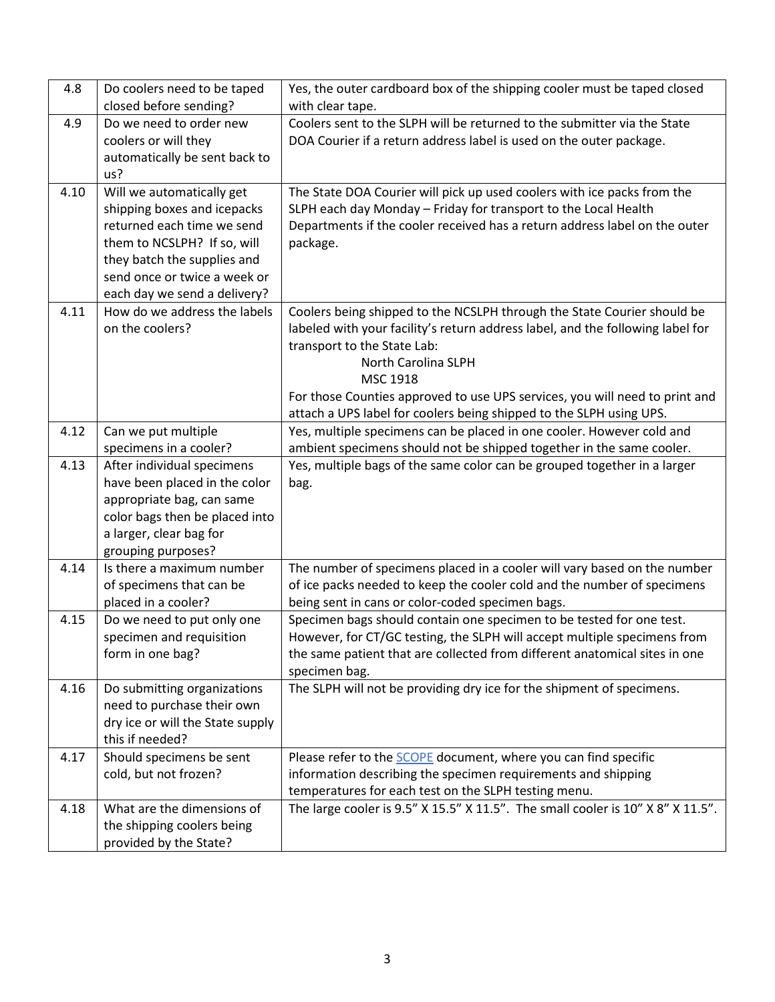| 4.8  | Do coolers need to be taped<br>closed before sending?       | Yes, the outer cardboard box of the shipping cooler must be taped closed<br>with clear tape. |
|------|-------------------------------------------------------------|----------------------------------------------------------------------------------------------|
| 4.9  | Do we need to order new                                     | Coolers sent to the SLPH will be returned to the submitter via the State                     |
|      | coolers or will they                                        | DOA Courier if a return address label is used on the outer package.                          |
|      | automatically be sent back to                               |                                                                                              |
|      | us?                                                         |                                                                                              |
| 4.10 | Will we automatically get                                   | The State DOA Courier will pick up used coolers with ice packs from the                      |
|      | shipping boxes and icepacks                                 | SLPH each day Monday - Friday for transport to the Local Health                              |
|      | returned each time we send                                  | Departments if the cooler received has a return address label on the outer                   |
|      | them to NCSLPH? If so, will                                 | package.                                                                                     |
|      | they batch the supplies and                                 |                                                                                              |
|      | send once or twice a week or                                |                                                                                              |
|      | each day we send a delivery?                                |                                                                                              |
| 4.11 | How do we address the labels                                | Coolers being shipped to the NCSLPH through the State Courier should be                      |
|      | on the coolers?                                             | labeled with your facility's return address label, and the following label for               |
|      |                                                             | transport to the State Lab:                                                                  |
|      |                                                             | North Carolina SLPH                                                                          |
|      |                                                             | MSC 1918                                                                                     |
|      |                                                             | For those Counties approved to use UPS services, you will need to print and                  |
|      |                                                             | attach a UPS label for coolers being shipped to the SLPH using UPS.                          |
| 4.12 | Can we put multiple                                         | Yes, multiple specimens can be placed in one cooler. However cold and                        |
|      | specimens in a cooler?                                      | ambient specimens should not be shipped together in the same cooler.                         |
| 4.13 | After individual specimens                                  | Yes, multiple bags of the same color can be grouped together in a larger                     |
|      | have been placed in the color                               | bag.                                                                                         |
|      | appropriate bag, can same<br>color bags then be placed into |                                                                                              |
|      | a larger, clear bag for                                     |                                                                                              |
|      | grouping purposes?                                          |                                                                                              |
| 4.14 | Is there a maximum number                                   | The number of specimens placed in a cooler will vary based on the number                     |
|      | of specimens that can be                                    | of ice packs needed to keep the cooler cold and the number of specimens                      |
|      | placed in a cooler?                                         | being sent in cans or color-coded specimen bags.                                             |
| 4.15 | Do we need to put only one                                  | Specimen bags should contain one specimen to be tested for one test.                         |
|      | specimen and requisition                                    | However, for CT/GC testing, the SLPH will accept multiple specimens from                     |
|      | form in one bag?                                            | the same patient that are collected from different anatomical sites in one                   |
|      |                                                             | specimen bag.                                                                                |
| 4.16 | Do submitting organizations                                 | The SLPH will not be providing dry ice for the shipment of specimens.                        |
|      | need to purchase their own                                  |                                                                                              |
|      | dry ice or will the State supply                            |                                                                                              |
|      | this if needed?                                             |                                                                                              |
| 4.17 | Should specimens be sent                                    | Please refer to the SCOPE document, where you can find specific                              |
|      | cold, but not frozen?                                       | information describing the specimen requirements and shipping                                |
|      |                                                             | temperatures for each test on the SLPH testing menu.                                         |
| 4.18 | What are the dimensions of                                  | The large cooler is 9.5" X 15.5" X 11.5". The small cooler is 10" X 8" X 11.5".              |
|      | the shipping coolers being                                  |                                                                                              |
|      | provided by the State?                                      |                                                                                              |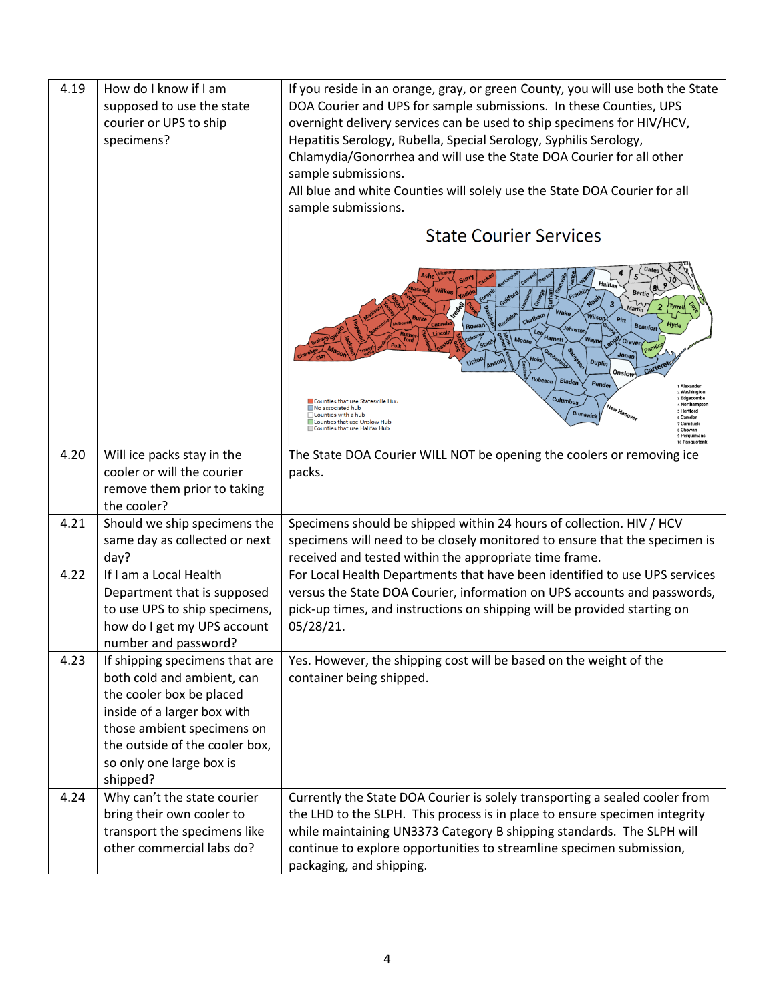| 4.19 | How do I know if I am<br>supposed to use the state<br>courier or UPS to ship<br>specimens?                                                                                                                                      | If you reside in an orange, gray, or green County, you will use both the State<br>DOA Courier and UPS for sample submissions. In these Counties, UPS<br>overnight delivery services can be used to ship specimens for HIV/HCV,<br>Hepatitis Serology, Rubella, Special Serology, Syphilis Serology,<br>Chlamydia/Gonorrhea and will use the State DOA Courier for all other<br>sample submissions.<br>All blue and white Counties will solely use the State DOA Courier for all<br>sample submissions. |
|------|---------------------------------------------------------------------------------------------------------------------------------------------------------------------------------------------------------------------------------|--------------------------------------------------------------------------------------------------------------------------------------------------------------------------------------------------------------------------------------------------------------------------------------------------------------------------------------------------------------------------------------------------------------------------------------------------------------------------------------------------------|
|      |                                                                                                                                                                                                                                 | <b>State Courier Services</b>                                                                                                                                                                                                                                                                                                                                                                                                                                                                          |
|      |                                                                                                                                                                                                                                 | Halifa<br>Bertie<br><b>Wilson</b><br>Pitt<br><b>Beaufort</b><br>Rowan<br><b>Harnett</b><br>Wayne<br>ano Craver<br>Jones<br>Union<br><b>Duplin</b><br><b>M<sub>S</sub></b><br>Cartere<br>Onslow<br>Robeson<br>Bladen<br>Pender<br>Alexande<br>2 Washingto<br>3 Edgecombe<br>Columbus<br>Counties that use Statesville Hup<br>4 Northampto                                                                                                                                                               |
|      |                                                                                                                                                                                                                                 | No associated hub<br>New Hanover<br>s Hertford<br><b>Brunswick</b><br>Counties with a hub<br>6 Camden<br>Counties that use Onslow Hub<br>7 Currituck<br>Counties that use Halifax Hub<br>s Chowan<br>9 Perguima<br>10 Pasquotank                                                                                                                                                                                                                                                                       |
| 4.20 | Will ice packs stay in the<br>cooler or will the courier<br>remove them prior to taking<br>the cooler?                                                                                                                          | The State DOA Courier WILL NOT be opening the coolers or removing ice<br>packs.                                                                                                                                                                                                                                                                                                                                                                                                                        |
| 4.21 | Should we ship specimens the<br>same day as collected or next<br>day?                                                                                                                                                           | Specimens should be shipped within 24 hours of collection. HIV / HCV<br>specimens will need to be closely monitored to ensure that the specimen is<br>received and tested within the appropriate time frame.                                                                                                                                                                                                                                                                                           |
| 4.22 | If I am a Local Health<br>Department that is supposed<br>to use UPS to ship specimens,<br>how do I get my UPS account<br>number and password?                                                                                   | For Local Health Departments that have been identified to use UPS services<br>versus the State DOA Courier, information on UPS accounts and passwords,<br>pick-up times, and instructions on shipping will be provided starting on<br>05/28/21.                                                                                                                                                                                                                                                        |
| 4.23 | If shipping specimens that are<br>both cold and ambient, can<br>the cooler box be placed<br>inside of a larger box with<br>those ambient specimens on<br>the outside of the cooler box,<br>so only one large box is<br>shipped? | Yes. However, the shipping cost will be based on the weight of the<br>container being shipped.                                                                                                                                                                                                                                                                                                                                                                                                         |
| 4.24 | Why can't the state courier<br>bring their own cooler to<br>transport the specimens like<br>other commercial labs do?                                                                                                           | Currently the State DOA Courier is solely transporting a sealed cooler from<br>the LHD to the SLPH. This process is in place to ensure specimen integrity<br>while maintaining UN3373 Category B shipping standards. The SLPH will<br>continue to explore opportunities to streamline specimen submission,<br>packaging, and shipping.                                                                                                                                                                 |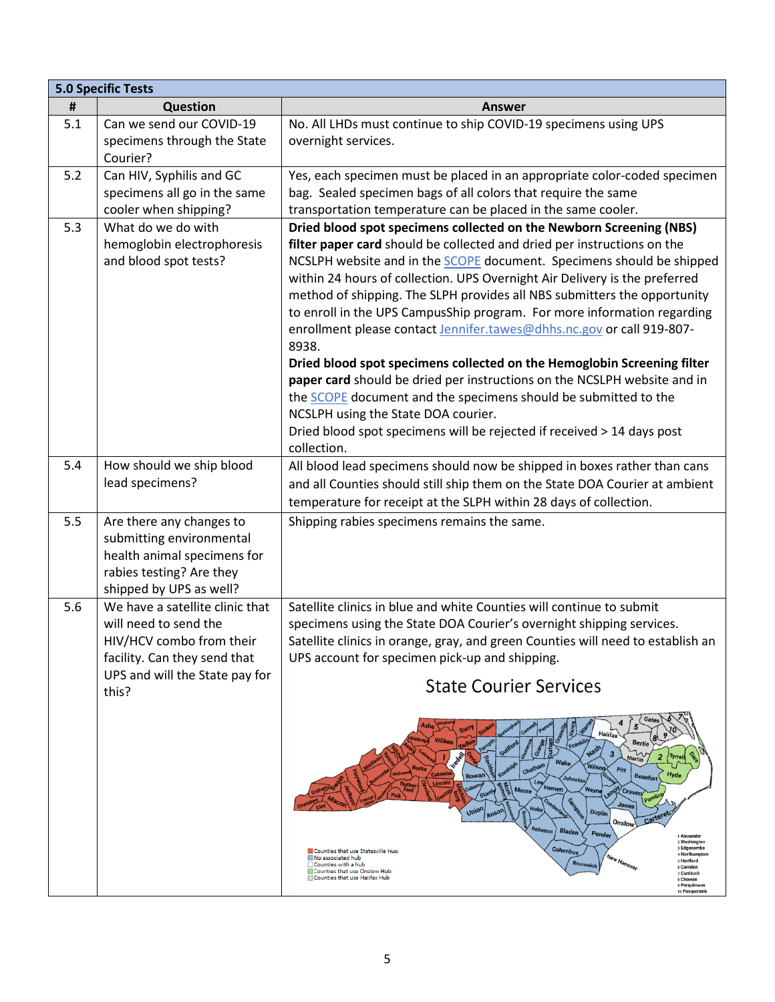|     | <b>5.0 Specific Tests</b>               |                                                                                                                                                     |  |
|-----|-----------------------------------------|-----------------------------------------------------------------------------------------------------------------------------------------------------|--|
| Ħ   | Question                                | <b>Answer</b>                                                                                                                                       |  |
| 5.1 | Can we send our COVID-19                | No. All LHDs must continue to ship COVID-19 specimens using UPS                                                                                     |  |
|     | specimens through the State             | overnight services.                                                                                                                                 |  |
|     | Courier?                                |                                                                                                                                                     |  |
| 5.2 | Can HIV, Syphilis and GC                | Yes, each specimen must be placed in an appropriate color-coded specimen                                                                            |  |
|     | specimens all go in the same            | bag. Sealed specimen bags of all colors that require the same                                                                                       |  |
|     | cooler when shipping?                   | transportation temperature can be placed in the same cooler.                                                                                        |  |
| 5.3 | What do we do with                      | Dried blood spot specimens collected on the Newborn Screening (NBS)                                                                                 |  |
|     | hemoglobin electrophoresis              | filter paper card should be collected and dried per instructions on the                                                                             |  |
|     | and blood spot tests?                   | NCSLPH website and in the <b>SCOPE</b> document. Specimens should be shipped                                                                        |  |
|     |                                         | within 24 hours of collection. UPS Overnight Air Delivery is the preferred                                                                          |  |
|     |                                         | method of shipping. The SLPH provides all NBS submitters the opportunity<br>to enroll in the UPS CampusShip program. For more information regarding |  |
|     |                                         | enrollment please contact Jennifer.tawes@dhhs.nc.gov or call 919-807-                                                                               |  |
|     |                                         | 8938.                                                                                                                                               |  |
|     |                                         | Dried blood spot specimens collected on the Hemoglobin Screening filter                                                                             |  |
|     |                                         | paper card should be dried per instructions on the NCSLPH website and in                                                                            |  |
|     |                                         | the <b>SCOPE</b> document and the specimens should be submitted to the                                                                              |  |
|     |                                         | NCSLPH using the State DOA courier.                                                                                                                 |  |
|     |                                         | Dried blood spot specimens will be rejected if received > 14 days post                                                                              |  |
|     |                                         | collection.                                                                                                                                         |  |
| 5.4 | How should we ship blood                | All blood lead specimens should now be shipped in boxes rather than cans                                                                            |  |
|     | lead specimens?                         | and all Counties should still ship them on the State DOA Courier at ambient                                                                         |  |
|     |                                         | temperature for receipt at the SLPH within 28 days of collection.                                                                                   |  |
| 5.5 | Are there any changes to                | Shipping rabies specimens remains the same.                                                                                                         |  |
|     | submitting environmental                |                                                                                                                                                     |  |
|     | health animal specimens for             |                                                                                                                                                     |  |
|     | rabies testing? Are they                |                                                                                                                                                     |  |
|     | shipped by UPS as well?                 |                                                                                                                                                     |  |
| 5.6 | We have a satellite clinic that         | Satellite clinics in blue and white Counties will continue to submit                                                                                |  |
|     | will need to send the                   | specimens using the State DOA Courier's overnight shipping services.                                                                                |  |
|     | HIV/HCV combo from their                | Satellite clinics in orange, gray, and green Counties will need to establish an                                                                     |  |
|     | facility. Can they send that            | UPS account for specimen pick-up and shipping.                                                                                                      |  |
|     | UPS and will the State pay for<br>this? | <b>State Courier Services</b>                                                                                                                       |  |
|     |                                         |                                                                                                                                                     |  |
|     |                                         |                                                                                                                                                     |  |
|     |                                         | Bertie                                                                                                                                              |  |
|     |                                         | 3<br>Wake<br>Wilsor<br>Pitt                                                                                                                         |  |
|     |                                         | Catawb<br>Hyd <sub>6</sub><br><b>Beaufort</b><br>Rowan<br>Harnett                                                                                   |  |
|     |                                         | Wayn<br>en <sup>on</sup> Craven<br>Jones                                                                                                            |  |
|     |                                         | Union<br><b>Duplin</b><br>Cartere<br>Onslow                                                                                                         |  |
|     |                                         | Robeson<br><b>Bladen</b><br>Pender<br>1 Alexander<br>2 Washington                                                                                   |  |
|     |                                         | 3 Edgecombe<br>Columbus<br>Counties that use Statesville Hup<br>4 Northamptor<br>No associated hub                                                  |  |
|     |                                         | New Hanover<br>s Hertford<br><b>Brunswick</b><br>$\Box$ Counties with a hub<br>6 Camden<br>Counties that use Onslow Hub<br>7 Currituck              |  |
|     |                                         | Counties that use Halifax Hub<br>s Chowan<br>9 Perguimans<br>10 Pasquotank                                                                          |  |